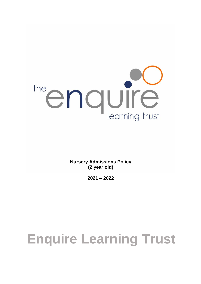

**Nursery Admissions Policy (2 year old)**

**2021 – 2022** 

# **Enquire Learning Trust**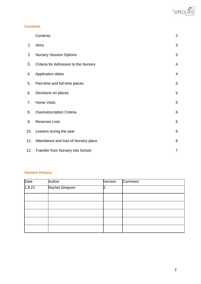

#### **Contents**

|                | Contents                              | $\overline{2}$ |
|----------------|---------------------------------------|----------------|
| 1              | Aims                                  | 3              |
| $\overline{2}$ | <b>Nursery Session Options</b>        | 3              |
| 3.             | Criteria for Admission to the Nursery | $\overline{4}$ |
| 4.             | Application dates                     | $\overline{4}$ |
| 5.             | Part-time and full-time places        | 5              |
| 6.             | Decisions on places                   | 5              |
| 7.             | <b>Home Visits</b>                    | 5              |
| 8.             | Oversubscription Criteria             | 6              |
| 9.             | <b>Reserves Lists</b>                 | 6              |
| 10.            | Leavers during the year               | 6              |
| 11.            | Attendance and loss of Nursery place  | 6              |
| 12.            | Transfer from Nursery into School     | $\overline{7}$ |

## **Version History**

| <b>Date</b> | Author         | Version | Comment |
|-------------|----------------|---------|---------|
| 1.9.21      | Rachel Simpson |         |         |
|             |                |         |         |
|             |                |         |         |
|             |                |         |         |
|             |                |         |         |
|             |                |         |         |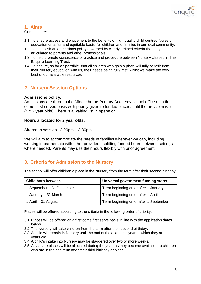

# **1. Aims**

Our aims are:

- 1.1 To ensure access and entitlement to the benefits of high-quality child centred Nursery education on a fair and equitable basis, for children and families in our local community.
- 1.2 To establish an admissions policy governed by clearly defined criteria that may be articulated to parents and other professionals.
- 1.3 To help promote consistency of practice and procedure between Nursery classes in The Enquire Learning Trust.
- 1.4 To ensure, as far as possible, that all children who gain a place will fully benefit from their Nursery education with us, their needs being fully met, whilst we make the very best of our available resources.

# **2. Nursery Session Options**

#### **Admissions policy:**

Admissions are through the Middlethorpe Primary Academy school office on a first come, first served basis with priority given to funded places, until the provision is full (4 x 2 year olds). There is a waiting list in operation.

#### **Hours allocated for 2 year olds:**

Afternoon session 12.20pm – 3.30pm

We will aim to accommodate the needs of families wherever we can, including working in partnership with other providers, splitting funded hours between settings where needed. Parents may use their hours flexibly with prior agreement.

# **3. Criteria for Admission to the Nursery**

The school will offer children a place in the Nursery from the term after their second birthday:

| <b>Child born between</b> | Universal government funding starts    |  |
|---------------------------|----------------------------------------|--|
| 1 September – 31 December | Term beginning on or after 1 January   |  |
| 1 January – 31 March      | Term beginning on or after 1 April     |  |
| 1 April – 31 August       | Term beginning on or after 1 September |  |

Places will be offered according to the criteria in the following order of priority:

- 3.1 Places will be offered on a first come first serve basis in line with the application dates below.
- 3.2 The Nursery will take children from the term after their second birthday.
- 3.3 A child will remain in Nursery until the end of the academic year in which they are 4 years old.
- 3.4 A child's intake into Nursery may be staggered over two or more weeks.
- 3.5 Any spare places will be allocated during the year, as they become available, to children who are in the half-term after their third birthday or older.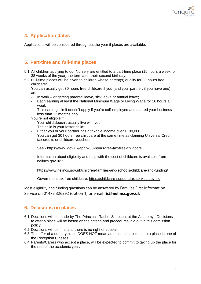

# **4. Application dates**

Applications will be considered throughout the year if places are available.

# **5. Part-time and full-time places**

- 5.1 All children applying to our Nursery are entitled to a part-time place (15 hours a week for 38 weeks of the year) the term after their second birthday.
- 5.2 Full-time places will be given to children whose parent(s) qualify for 30 hours free childcare:

You can usually get 30 hours free childcare if you (and your partner, if you have one) are:

- In work or getting parental leave, sick leave or annual leave;
- Each earning at least the National Minimum Wage or Living Wage for 16 hours a week

This earnings limit doesn't apply if you're self-employed and started your business less than 12 months ago.

You're not eligible if:

- Your child doesn't usually live with you;
- The child is your foster child;
- Either you or your partner has a taxable income over £100,000.
	- You can get 30 hours free childcare at the same time as claiming Universal Credit, tax credits or childcare vouchers.

See - <https://www.gov.uk/apply-30-hours-free-tax-free-childcare>

Information about eligibility and help with the cost of childcare is available from nelincs.gov.uk :

<https://www.nelincs.gov.uk/children-families-and-schools/childcare-and-funding/>

Government tax free childcare:<https://childcare-support.tax.service.gov.uk/>

Most eligibility and funding questions can be answered by Families First Information Service on 01472 326292 (option 1) or email **[fis@nelincs.gov.uk](mailto:fis@nelincs.gov.uk)**

## **6. Decisions on places**

- 6.1 Decisions will be made by The Principal, Rachel Simpson, at the Academy. Decisions to offer a place will be based on the criteria and procedures laid out in this admission policy.
- 6.2 Decisions will be final and there is no right of appeal.
- 6.3 The offer of a nursery place DOES NOT mean automatic entitlement to a place in one of the Reception Classes.
- 6.4 Parents/Carers who accept a place, will be expected to commit to taking up the place for the rest of the academic year.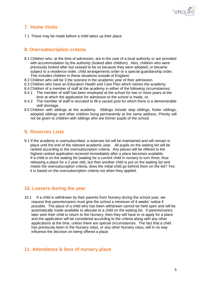

# **7. Home Visits**

7.1 These may be made before a child takes up their place.

## **8. Oversubscription criteria**

- 8.1 Children who, at the time of admission, are in the care of a local authority or are provided with accommodation by the authority (looked after children). Also, children who were previously looked after but ceased to be so because they were adopted, or became subject to a residence order, child arrangements order or a special guardianship order. This includes children in these situations outside of England.
- 8.2 Children who will be 3 the soonest in the academic year of their admission.
- 8.3 Children who have an Education Health and Care Plan which names the academy.
- 8.4 Children of a member of staff at the academy in either of the following circumstances:
- 8.4.1 The member of staff has been employed at the school for two or more years at the time at which the application for admission to the school is made, or;
- 8.4.2 The member of staff is recruited to fill a vacant post for which there is a demonstrable skill shortage.
- 8.5 Children with siblings at the academy. Siblings include step siblings, foster siblings, adopted siblings and other children living permanently at the same address. Priority will not be given to children with siblings who are former pupils of the school.

## **9. Reserves Lists**

9.1 If the academy is oversubscribed, a reserves list will be maintained and will remain in place until the end of the relevant academic year. All pupils on the waiting list will be ranked according to the oversubscription criteria. Any places will be offered to the highest ranked application received immediately after a place becomes available. If a child is on the waiting list (waiting for a current child in nursery to turn three, thus releasing a place for a 2 year old), but then another child is put on the waiting list and meets the oversubscription criteria, does the initial child go behind them on the list? Yes it is based on the oversubscription criteria not when they applied.

#### **10. Leavers during the year**

10.1 If a child is withdrawn by their parents from Nursery during the school year, we request that parents/carers must give the school a minimum of 4 weeks' notice if possible. The place of a child who has been withdrawn cannot be held open and will be automatically made available to allocate to a child on the waiting list. If parents/carers later wish their child to return to the Nursery, then they will have to re-apply for a place and the application will be considered according to the criteria along with any other applications at the time, unless there are special circumstances. The fact that a child has previously been in the Nursery class, or any other Nursery class, will in no way influence the decision on being offered a place.

## **11. Attendance & loss of nursery place**